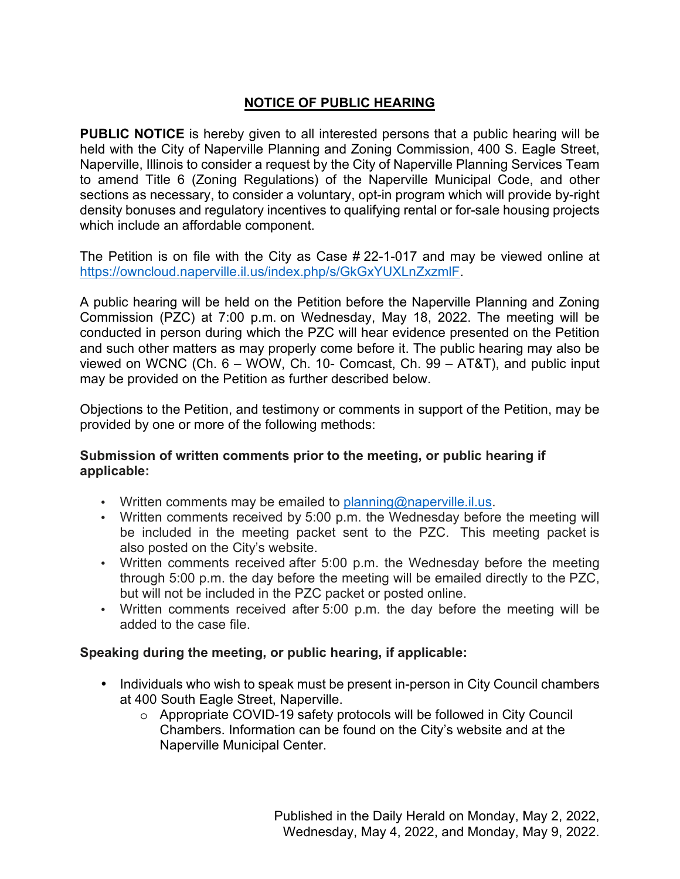# **NOTICE OF PUBLIC HEARING**

**PUBLIC NOTICE** is hereby given to all interested persons that a public hearing will be held with the City of Naperville Planning and Zoning Commission, 400 S. Eagle Street, Naperville, Illinois to consider a request by the City of Naperville Planning Services Team to amend Title 6 (Zoning Regulations) of the Naperville Municipal Code, and other sections as necessary, to consider a voluntary, opt-in program which will provide by-right density bonuses and regulatory incentives to qualifying rental or for-sale housing projects which include an affordable component.

The Petition is on file with the City as Case # 22-1-017 and may be viewed online at https://owncloud.naperville.il.us/index.php/s/GkGxYUXLnZxzmlF.

A public hearing will be held on the Petition before the Naperville Planning and Zoning Commission (PZC) at 7:00 p.m. on Wednesday, May 18, 2022. The meeting will be conducted in person during which the PZC will hear evidence presented on the Petition and such other matters as may properly come before it. The public hearing may also be viewed on WCNC (Ch. 6 – WOW, Ch. 10- Comcast, Ch. 99 – AT&T), and public input may be provided on the Petition as further described below.

Objections to the Petition, and testimony or comments in support of the Petition, may be provided by one or more of the following methods:

### **Submission of written comments prior to the meeting, or public hearing if applicable:**

- Written comments may be emailed to planning@naperville.il.us.
- Written comments received by 5:00 p.m. the Wednesday before the meeting will be included in the meeting packet sent to the PZC. This meeting packet is also posted on the City's website.
- Written comments received after 5:00 p.m. the Wednesday before the meeting through 5:00 p.m. the day before the meeting will be emailed directly to the PZC, but will not be included in the PZC packet or posted online.
- Written comments received after 5:00 p.m. the day before the meeting will be added to the case file.

# **Speaking during the meeting, or public hearing, if applicable:**

- Individuals who wish to speak must be present in-person in City Council chambers at 400 South Eagle Street, Naperville.
	- o Appropriate COVID-19 safety protocols will be followed in City Council Chambers. Information can be found on the City's website and at the Naperville Municipal Center.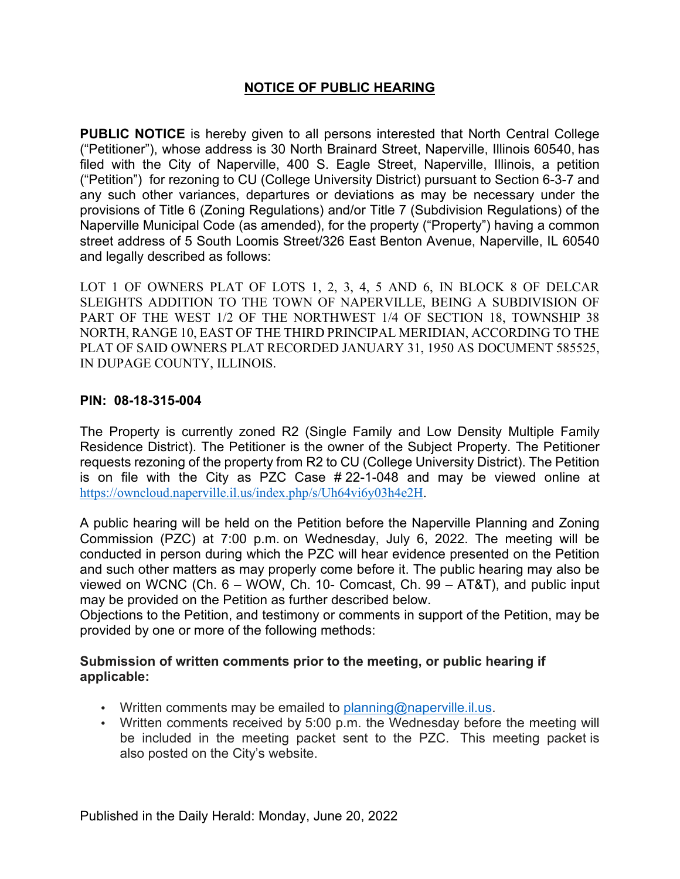### **NOTICE OF PUBLIC HEARING**

**PUBLIC NOTICE** is hereby given to all persons interested that North Central College ("Petitioner"), whose address is 30 North Brainard Street, Naperville, Illinois 60540, has filed with the City of Naperville, 400 S. Eagle Street, Naperville, Illinois, a petition ("Petition") for rezoning to CU (College University District) pursuant to Section 6-3-7 and any such other variances, departures or deviations as may be necessary under the provisions of Title 6 (Zoning Regulations) and/or Title 7 (Subdivision Regulations) of the Naperville Municipal Code (as amended), for the property ("Property") having a common street address of 5 South Loomis Street/326 East Benton Avenue, Naperville, IL 60540 and legally described as follows:

LOT 1 OF OWNERS PLAT OF LOTS 1, 2, 3, 4, 5 AND 6, IN BLOCK 8 OF DELCAR SLEIGHTS ADDITION TO THE TOWN OF NAPERVILLE, BEING A SUBDIVISION OF PART OF THE WEST 1/2 OF THE NORTHWEST 1/4 OF SECTION 18, TOWNSHIP 38 NORTH, RANGE 10, EAST OF THE THIRD PRINCIPAL MERIDIAN, ACCORDING TO THE PLAT OF SAID OWNERS PLAT RECORDED JANUARY 31, 1950 AS DOCUMENT 585525, IN DUPAGE COUNTY, ILLINOIS.

#### **PIN: 08-18-315-004**

The Property is currently zoned R2 (Single Family and Low Density Multiple Family Residence District). The Petitioner is the owner of the Subject Property. The Petitioner requests rezoning of the property from R2 to CU (College University District). The Petition is on file with the City as PZC Case # 22-1-048 and may be viewed online at https://owncloud.naperville.il.us/index.php/s/Uh64vi6y03h4e2H.

A public hearing will be held on the Petition before the Naperville Planning and Zoning Commission (PZC) at 7:00 p.m. on Wednesday, July 6, 2022. The meeting will be conducted in person during which the PZC will hear evidence presented on the Petition and such other matters as may properly come before it. The public hearing may also be viewed on WCNC (Ch. 6 – WOW, Ch. 10- Comcast, Ch. 99 – AT&T), and public input may be provided on the Petition as further described below.

Objections to the Petition, and testimony or comments in support of the Petition, may be provided by one or more of the following methods:

#### **Submission of written comments prior to the meeting, or public hearing if applicable:**

- Written comments may be emailed to planning@naperville.il.us.
- Written comments received by 5:00 p.m. the Wednesday before the meeting will be included in the meeting packet sent to the PZC. This meeting packet is also posted on the City's website.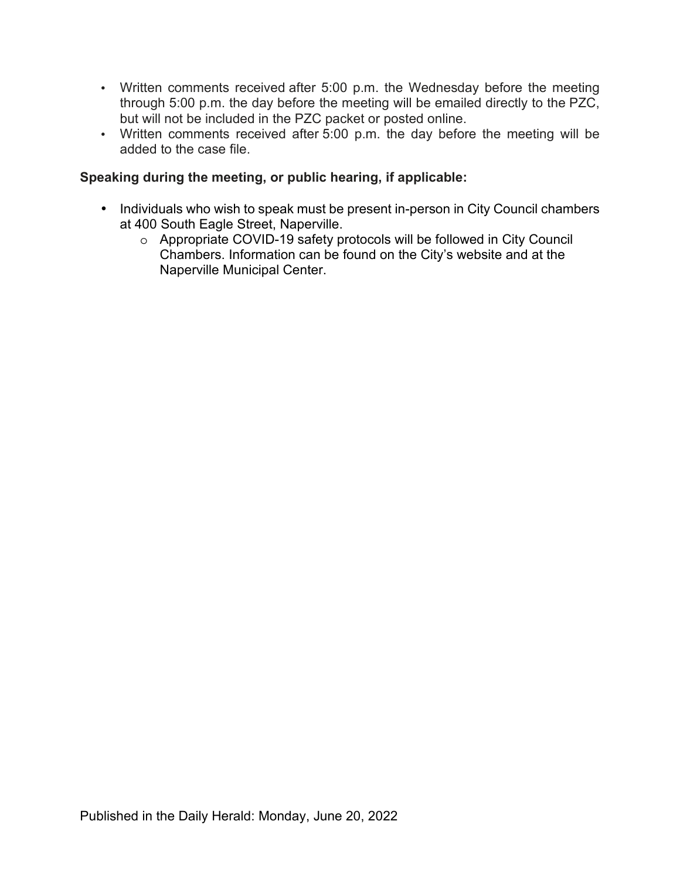- Written comments received after 5:00 p.m. the Wednesday before the meeting through 5:00 p.m. the day before the meeting will be emailed directly to the PZC, but will not be included in the PZC packet or posted online.
- Written comments received after 5:00 p.m. the day before the meeting will be added to the case file.

### **Speaking during the meeting, or public hearing, if applicable:**

- Individuals who wish to speak must be present in-person in City Council chambers at 400 South Eagle Street, Naperville.
	- o Appropriate COVID-19 safety protocols will be followed in City Council Chambers. Information can be found on the City's website and at the Naperville Municipal Center.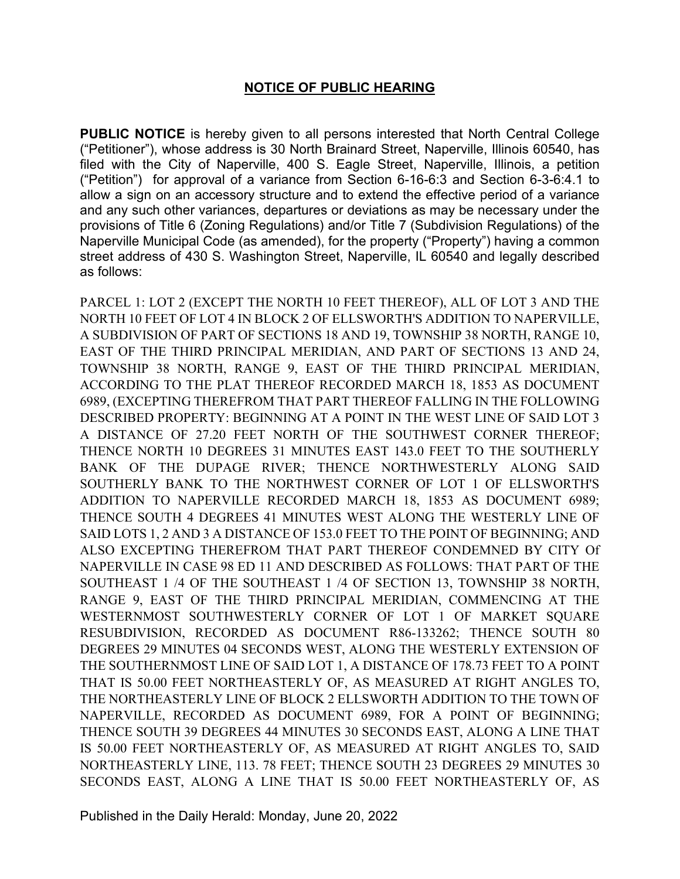#### **NOTICE OF PUBLIC HEARING**

**PUBLIC NOTICE** is hereby given to all persons interested that North Central College ("Petitioner"), whose address is 30 North Brainard Street, Naperville, Illinois 60540, has filed with the City of Naperville, 400 S. Eagle Street, Naperville, Illinois, a petition ("Petition") for approval of a variance from Section 6-16-6:3 and Section 6-3-6:4.1 to allow a sign on an accessory structure and to extend the effective period of a variance and any such other variances, departures or deviations as may be necessary under the provisions of Title 6 (Zoning Regulations) and/or Title 7 (Subdivision Regulations) of the Naperville Municipal Code (as amended), for the property ("Property") having a common street address of 430 S. Washington Street, Naperville, IL 60540 and legally described as follows:

PARCEL 1: LOT 2 (EXCEPT THE NORTH 10 FEET THEREOF), ALL OF LOT 3 AND THE NORTH 10 FEET OF LOT 4 IN BLOCK 2 OF ELLSWORTH'S ADDITION TO NAPERVILLE, A SUBDIVISION OF PART OF SECTIONS 18 AND 19, TOWNSHIP 38 NORTH, RANGE 10, EAST OF THE THIRD PRINCIPAL MERIDIAN, AND PART OF SECTIONS 13 AND 24, TOWNSHIP 38 NORTH, RANGE 9, EAST OF THE THIRD PRINCIPAL MERIDIAN, ACCORDING TO THE PLAT THEREOF RECORDED MARCH 18, 1853 AS DOCUMENT 6989, (EXCEPTING THEREFROM THAT PART THEREOF FALLING IN THE FOLLOWING DESCRIBED PROPERTY: BEGINNING AT A POINT IN THE WEST LINE OF SAID LOT 3 A DISTANCE OF 27.20 FEET NORTH OF THE SOUTHWEST CORNER THEREOF; THENCE NORTH 10 DEGREES 31 MINUTES EAST 143.0 FEET TO THE SOUTHERLY BANK OF THE DUPAGE RIVER; THENCE NORTHWESTERLY ALONG SAID SOUTHERLY BANK TO THE NORTHWEST CORNER OF LOT 1 OF ELLSWORTH'S ADDITION TO NAPERVILLE RECORDED MARCH 18, 1853 AS DOCUMENT 6989; THENCE SOUTH 4 DEGREES 41 MINUTES WEST ALONG THE WESTERLY LINE OF SAID LOTS 1, 2 AND 3 A DISTANCE OF 153.0 FEET TO THE POINT OF BEGINNING; AND ALSO EXCEPTING THEREFROM THAT PART THEREOF CONDEMNED BY CITY Of NAPERVILLE IN CASE 98 ED 11 AND DESCRIBED AS FOLLOWS: THAT PART OF THE SOUTHEAST 1 /4 OF THE SOUTHEAST 1 /4 OF SECTION 13, TOWNSHIP 38 NORTH, RANGE 9, EAST OF THE THIRD PRINCIPAL MERIDIAN, COMMENCING AT THE WESTERNMOST SOUTHWESTERLY CORNER OF LOT 1 OF MARKET SQUARE RESUBDIVISION, RECORDED AS DOCUMENT R86-133262; THENCE SOUTH 80 DEGREES 29 MINUTES 04 SECONDS WEST, ALONG THE WESTERLY EXTENSION OF THE SOUTHERNMOST LINE OF SAID LOT 1, A DISTANCE OF 178.73 FEET TO A POINT THAT IS 50.00 FEET NORTHEASTERLY OF, AS MEASURED AT RIGHT ANGLES TO, THE NORTHEASTERLY LINE OF BLOCK 2 ELLSWORTH ADDITION TO THE TOWN OF NAPERVILLE, RECORDED AS DOCUMENT 6989, FOR A POINT OF BEGINNING; THENCE SOUTH 39 DEGREES 44 MINUTES 30 SECONDS EAST, ALONG A LINE THAT IS 50.00 FEET NORTHEASTERLY OF, AS MEASURED AT RIGHT ANGLES TO, SAID NORTHEASTERLY LINE, 113. 78 FEET; THENCE SOUTH 23 DEGREES 29 MINUTES 30 SECONDS EAST, ALONG A LINE THAT IS 50.00 FEET NORTHEASTERLY OF, AS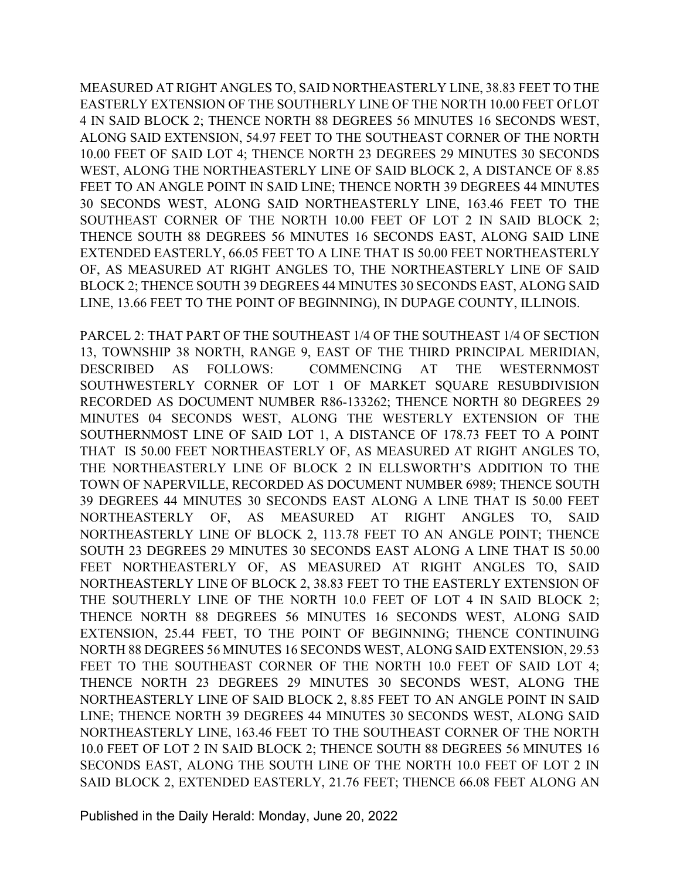MEASURED AT RIGHT ANGLES TO, SAID NORTHEASTERLY LINE, 38.83 FEET TO THE EASTERLY EXTENSION OF THE SOUTHERLY LINE OF THE NORTH 10.00 FEET Of LOT 4 IN SAID BLOCK 2; THENCE NORTH 88 DEGREES 56 MINUTES 16 SECONDS WEST, ALONG SAID EXTENSION, 54.97 FEET TO THE SOUTHEAST CORNER OF THE NORTH 10.00 FEET OF SAID LOT 4; THENCE NORTH 23 DEGREES 29 MINUTES 30 SECONDS WEST, ALONG THE NORTHEASTERLY LINE OF SAID BLOCK 2, A DISTANCE OF 8.85 FEET TO AN ANGLE POINT IN SAID LINE; THENCE NORTH 39 DEGREES 44 MINUTES 30 SECONDS WEST, ALONG SAID NORTHEASTERLY LINE, 163.46 FEET TO THE SOUTHEAST CORNER OF THE NORTH 10.00 FEET OF LOT 2 IN SAID BLOCK 2; THENCE SOUTH 88 DEGREES 56 MINUTES 16 SECONDS EAST, ALONG SAID LINE EXTENDED EASTERLY, 66.05 FEET TO A LINE THAT IS 50.00 FEET NORTHEASTERLY OF, AS MEASURED AT RIGHT ANGLES TO, THE NORTHEASTERLY LINE OF SAID BLOCK 2; THENCE SOUTH 39 DEGREES 44 MINUTES 30 SECONDS EAST, ALONG SAID LINE, 13.66 FEET TO THE POINT OF BEGINNING), IN DUPAGE COUNTY, ILLINOIS.

PARCEL 2: THAT PART OF THE SOUTHEAST 1/4 OF THE SOUTHEAST 1/4 OF SECTION 13, TOWNSHIP 38 NORTH, RANGE 9, EAST OF THE THIRD PRINCIPAL MERIDIAN, DESCRIBED AS FOLLOWS: COMMENCING AT THE WESTERNMOST SOUTHWESTERLY CORNER OF LOT 1 OF MARKET SQUARE RESUBDIVISION RECORDED AS DOCUMENT NUMBER R86-133262; THENCE NORTH 80 DEGREES 29 MINUTES 04 SECONDS WEST, ALONG THE WESTERLY EXTENSION OF THE SOUTHERNMOST LINE OF SAID LOT 1, A DISTANCE OF 178.73 FEET TO A POINT THAT IS 50.00 FEET NORTHEASTERLY OF, AS MEASURED AT RIGHT ANGLES TO, THE NORTHEASTERLY LINE OF BLOCK 2 IN ELLSWORTH'S ADDITION TO THE TOWN OF NAPERVILLE, RECORDED AS DOCUMENT NUMBER 6989; THENCE SOUTH 39 DEGREES 44 MINUTES 30 SECONDS EAST ALONG A LINE THAT IS 50.00 FEET NORTHEASTERLY OF, AS MEASURED AT RIGHT ANGLES TO, SAID NORTHEASTERLY LINE OF BLOCK 2, 113.78 FEET TO AN ANGLE POINT; THENCE SOUTH 23 DEGREES 29 MINUTES 30 SECONDS EAST ALONG A LINE THAT IS 50.00 FEET NORTHEASTERLY OF, AS MEASURED AT RIGHT ANGLES TO, SAID NORTHEASTERLY LINE OF BLOCK 2, 38.83 FEET TO THE EASTERLY EXTENSION OF THE SOUTHERLY LINE OF THE NORTH 10.0 FEET OF LOT 4 IN SAID BLOCK 2; THENCE NORTH 88 DEGREES 56 MINUTES 16 SECONDS WEST, ALONG SAID EXTENSION, 25.44 FEET, TO THE POINT OF BEGINNING; THENCE CONTINUING NORTH 88 DEGREES 56 MINUTES 16 SECONDS WEST, ALONG SAID EXTENSION, 29.53 FEET TO THE SOUTHEAST CORNER OF THE NORTH 10.0 FEET OF SAID LOT 4; THENCE NORTH 23 DEGREES 29 MINUTES 30 SECONDS WEST, ALONG THE NORTHEASTERLY LINE OF SAID BLOCK 2, 8.85 FEET TO AN ANGLE POINT IN SAID LINE; THENCE NORTH 39 DEGREES 44 MINUTES 30 SECONDS WEST, ALONG SAID NORTHEASTERLY LINE, 163.46 FEET TO THE SOUTHEAST CORNER OF THE NORTH 10.0 FEET OF LOT 2 IN SAID BLOCK 2; THENCE SOUTH 88 DEGREES 56 MINUTES 16 SECONDS EAST, ALONG THE SOUTH LINE OF THE NORTH 10.0 FEET OF LOT 2 IN SAID BLOCK 2, EXTENDED EASTERLY, 21.76 FEET; THENCE 66.08 FEET ALONG AN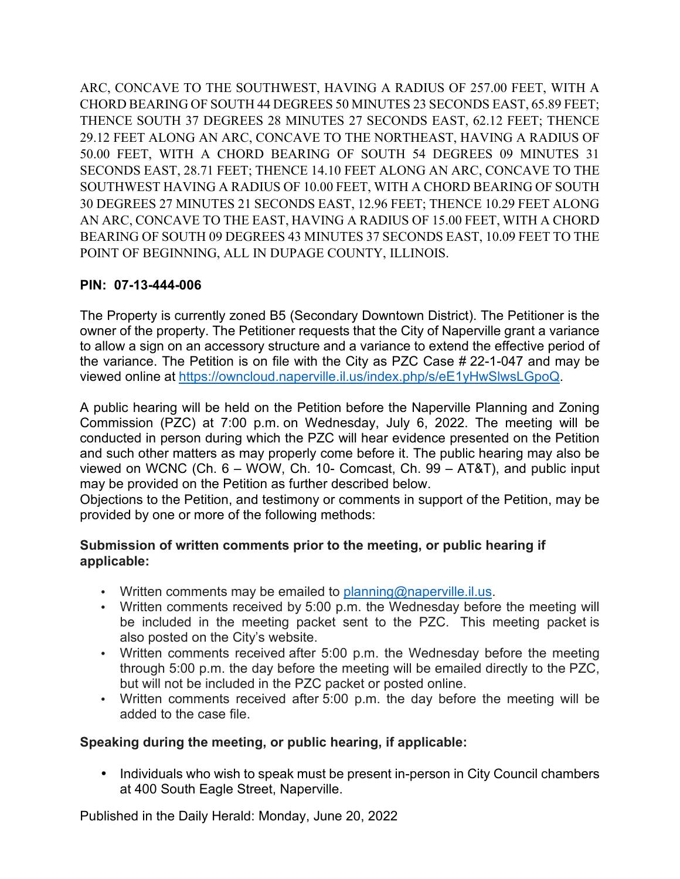ARC, CONCAVE TO THE SOUTHWEST, HAVING A RADIUS OF 257.00 FEET, WITH A CHORD BEARING OF SOUTH 44 DEGREES 50 MINUTES 23 SECONDS EAST, 65.89 FEET; THENCE SOUTH 37 DEGREES 28 MINUTES 27 SECONDS EAST, 62.12 FEET; THENCE 29.12 FEET ALONG AN ARC, CONCAVE TO THE NORTHEAST, HAVING A RADIUS OF 50.00 FEET, WITH A CHORD BEARING OF SOUTH 54 DEGREES 09 MINUTES 31 SECONDS EAST, 28.71 FEET; THENCE 14.10 FEET ALONG AN ARC, CONCAVE TO THE SOUTHWEST HAVING A RADIUS OF 10.00 FEET, WITH A CHORD BEARING OF SOUTH 30 DEGREES 27 MINUTES 21 SECONDS EAST, 12.96 FEET; THENCE 10.29 FEET ALONG AN ARC, CONCAVE TO THE EAST, HAVING A RADIUS OF 15.00 FEET, WITH A CHORD BEARING OF SOUTH 09 DEGREES 43 MINUTES 37 SECONDS EAST, 10.09 FEET TO THE POINT OF BEGINNING, ALL IN DUPAGE COUNTY, ILLINOIS.

# **PIN: 07-13-444-006**

The Property is currently zoned B5 (Secondary Downtown District). The Petitioner is the owner of the property. The Petitioner requests that the City of Naperville grant a variance to allow a sign on an accessory structure and a variance to extend the effective period of the variance. The Petition is on file with the City as PZC Case # 22-1-047 and may be viewed online at https://owncloud.naperville.il.us/index.php/s/eE1yHwSlwsLGpoQ.

A public hearing will be held on the Petition before the Naperville Planning and Zoning Commission (PZC) at 7:00 p.m. on Wednesday, July 6, 2022. The meeting will be conducted in person during which the PZC will hear evidence presented on the Petition and such other matters as may properly come before it. The public hearing may also be viewed on WCNC (Ch. 6 – WOW, Ch. 10- Comcast, Ch. 99 – AT&T), and public input may be provided on the Petition as further described below.

Objections to the Petition, and testimony or comments in support of the Petition, may be provided by one or more of the following methods:

# **Submission of written comments prior to the meeting, or public hearing if applicable:**

- Written comments may be emailed to planning@naperville.il.us.
- Written comments received by 5:00  $p.m.$  the Wednesday before the meeting will be included in the meeting packet sent to the PZC. This meeting packet is also posted on the City's website.
- Written comments received after 5:00 p.m. the Wednesday before the meeting through 5:00 p.m. the day before the meeting will be emailed directly to the PZC, but will not be included in the PZC packet or posted online.
- Written comments received after 5:00 p.m. the day before the meeting will be added to the case file.

# **Speaking during the meeting, or public hearing, if applicable:**

• Individuals who wish to speak must be present in-person in City Council chambers at 400 South Eagle Street, Naperville.

Published in the Daily Herald: Monday, June 20, 2022